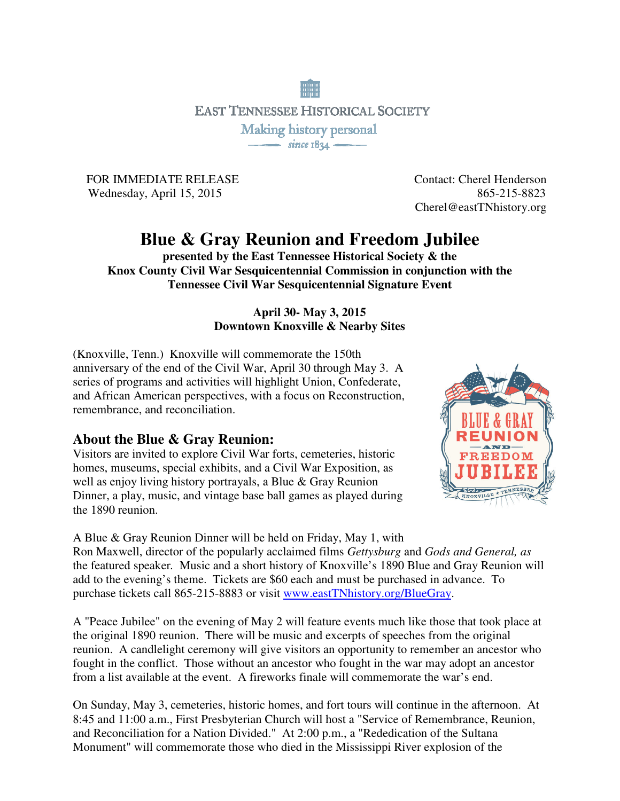

FOR IMMEDIATE RELEASE Contact: Cherel Henderson Wednesday, April 15, 2015 865-215-8823

Cherel@eastTNhistory.org

# **Blue & Gray Reunion and Freedom Jubilee**

**presented by the East Tennessee Historical Society & the Knox County Civil War Sesquicentennial Commission in conjunction with the Tennessee Civil War Sesquicentennial Signature Event** 

#### **April 30- May 3, 2015 Downtown Knoxville & Nearby Sites**

(Knoxville, Tenn.) Knoxville will commemorate the 150th anniversary of the end of the Civil War, April 30 through May 3. A series of programs and activities will highlight Union, Confederate, and African American perspectives, with a focus on Reconstruction, remembrance, and reconciliation.

#### **About the Blue & Gray Reunion:**

Visitors are invited to explore Civil War forts, cemeteries, historic homes, museums, special exhibits, and a Civil War Exposition, as well as enjoy living history portrayals, a Blue & Gray Reunion Dinner, a play, music, and vintage base ball games as played during the 1890 reunion.



A Blue & Gray Reunion Dinner will be held on Friday, May 1, with

Ron Maxwell, director of the popularly acclaimed films *Gettysburg* and *Gods and General, as*  the featured speaker*.* Music and a short history of Knoxville's 1890 Blue and Gray Reunion will add to the evening's theme. Tickets are \$60 each and must be purchased in advance. To purchase tickets call 865-215-8883 or visit www.eastTNhistory.org/BlueGray.

A "Peace Jubilee" on the evening of May 2 will feature events much like those that took place at the original 1890 reunion. There will be music and excerpts of speeches from the original reunion. A candlelight ceremony will give visitors an opportunity to remember an ancestor who fought in the conflict. Those without an ancestor who fought in the war may adopt an ancestor from a list available at the event. A fireworks finale will commemorate the war's end.

On Sunday, May 3, cemeteries, historic homes, and fort tours will continue in the afternoon. At 8:45 and 11:00 a.m., First Presbyterian Church will host a "Service of Remembrance, Reunion, and Reconciliation for a Nation Divided." At 2:00 p.m., a "Rededication of the Sultana Monument" will commemorate those who died in the Mississippi River explosion of the